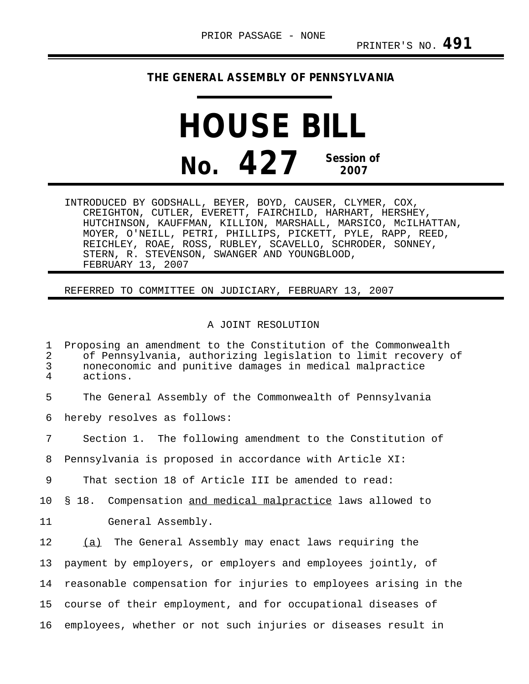## **THE GENERAL ASSEMBLY OF PENNSYLVANIA**

## **HOUSE BILL No. 427 Session of 2007**

INTRODUCED BY GODSHALL, BEYER, BOYD, CAUSER, CLYMER, COX, CREIGHTON, CUTLER, EVERETT, FAIRCHILD, HARHART, HERSHEY, HUTCHINSON, KAUFFMAN, KILLION, MARSHALL, MARSICO, McILHATTAN, MOYER, O'NEILL, PETRI, PHILLIPS, PICKETT, PYLE, RAPP, REED, REICHLEY, ROAE, ROSS, RUBLEY, SCAVELLO, SCHRODER, SONNEY, STERN, R. STEVENSON, SWANGER AND YOUNGBLOOD, FEBRUARY 13, 2007

REFERRED TO COMMITTEE ON JUDICIARY, FEBRUARY 13, 2007

## A JOINT RESOLUTION

1 Proposing an amendment to the Constitution of the Commonwealth<br>2 of Pennsylvania, authorizing legislation to limit recovery 2 of Pennsylvania, authorizing legislation to limit recovery of<br>3 noneconomic and punitive damages in medical malpractice 3 noneconomic and punitive damages in medical malpractice actions. 5 The General Assembly of the Commonwealth of Pennsylvania 6 hereby resolves as follows: 7 Section 1. The following amendment to the Constitution of 8 Pennsylvania is proposed in accordance with Article XI: 9 That section 18 of Article III be amended to read: 10 § 18. Compensation and medical malpractice laws allowed to 11 General Assembly. 12 (a) The General Assembly may enact laws requiring the 13 payment by employers, or employers and employees jointly, of 14 reasonable compensation for injuries to employees arising in the 15 course of their employment, and for occupational diseases of 16 employees, whether or not such injuries or diseases result in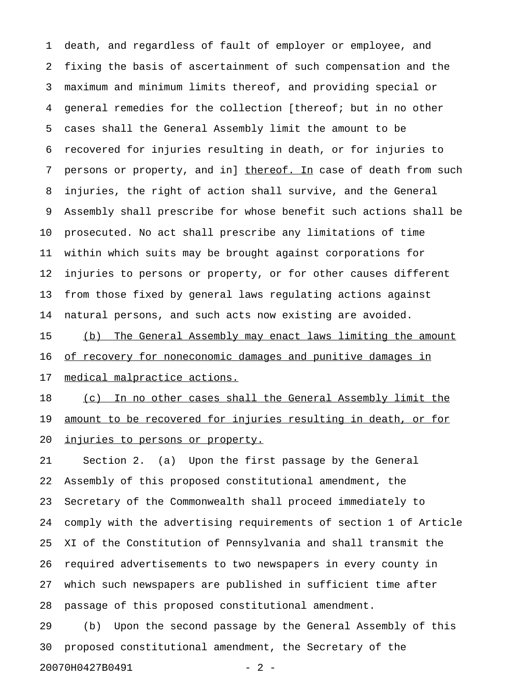1 death, and regardless of fault of employer or employee, and 2 fixing the basis of ascertainment of such compensation and the 3 maximum and minimum limits thereof, and providing special or 4 general remedies for the collection [thereof; but in no other 5 cases shall the General Assembly limit the amount to be 6 recovered for injuries resulting in death, or for injuries to 7 persons or property, and in] thereof. In case of death from such 8 injuries, the right of action shall survive, and the General 9 Assembly shall prescribe for whose benefit such actions shall be 10 prosecuted. No act shall prescribe any limitations of time 11 within which suits may be brought against corporations for 12 injuries to persons or property, or for other causes different 13 from those fixed by general laws regulating actions against 14 natural persons, and such acts now existing are avoided.

15 (b) The General Assembly may enact laws limiting the amount 16 of recovery for noneconomic damages and punitive damages in 17 medical malpractice actions.

18 (c) In no other cases shall the General Assembly limit the 19 amount to be recovered for injuries resulting in death, or for 20 <u>injuries to persons or property.</u>

21 Section 2. (a) Upon the first passage by the General 22 Assembly of this proposed constitutional amendment, the 23 Secretary of the Commonwealth shall proceed immediately to 24 comply with the advertising requirements of section 1 of Article 25 XI of the Constitution of Pennsylvania and shall transmit the 26 required advertisements to two newspapers in every county in 27 which such newspapers are published in sufficient time after 28 passage of this proposed constitutional amendment.

29 (b) Upon the second passage by the General Assembly of this 30 proposed constitutional amendment, the Secretary of the 20070H0427B0491 - 2 -